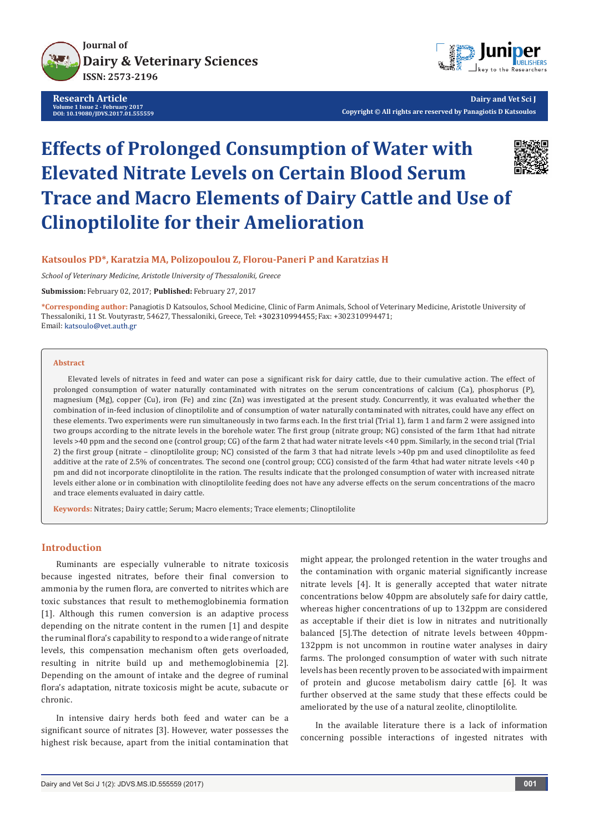

**Research Article Volume 1 Issue 2 - February 2017 DOI: [10.19080/JDVS.2017.01.555559](http://dx.doi.org/10.19080/JDVS.2017.01.555559
)**



**Dairy and Vet Sci J Copyright © All rights are reserved by Panagiotis D Katsoulos**

# **Effects of Prolonged Consumption of Water with Elevated Nitrate Levels on Certain Blood Serum Trace and Macro Elements of Dairy Cattle and Use of Clinoptilolite for their Amelioration**



## **Katsoulos PD\*, Karatzia MA, Polizopoulou Z, Florou-Paneri P and Karatzias H**

*School of Veterinary Medicine, Aristotle University of Thessaloniki, Greece*

**Submission:** February 02, 2017; **Published:** February 27, 2017

**\*Corresponding author:** Panagiotis D Katsoulos, School Medicine, Clinic of Farm Animals, School of Veterinary Medicine, Aristotle University of Thessaloniki, 11 St. Voutyrastr, 54627, Thessaloniki, Greece, Tel: +302310994455; Fax: +302310994471; Email: katsoulo@vet.auth.gr

#### **Abstract**

Elevated levels of nitrates in feed and water can pose a significant risk for dairy cattle, due to their cumulative action. The effect of prolonged consumption of water naturally contaminated with nitrates on the serum concentrations of calcium (Ca), phosphorus (P), magnesium (Mg), copper (Cu), iron (Fe) and zinc (Zn) was investigated at the present study. Concurrently, it was evaluated whether the combination of in-feed inclusion of clinoptilolite and of consumption of water naturally contaminated with nitrates, could have any effect on these elements. Two experiments were run simultaneously in two farms each. In the first trial (Trial 1), farm 1 and farm 2 were assigned into two groups according to the nitrate levels in the borehole water. The first group (nitrate group; NG) consisted of the farm 1that had nitrate levels >40 ppm and the second one (control group; CG) of the farm 2 that had water nitrate levels <40 ppm. Similarly, in the second trial (Trial 2) the first group (nitrate – clinoptilolite group; NC) consisted of the farm 3 that had nitrate levels >40p pm and used clinoptilolite as feed additive at the rate of 2.5% of concentrates. The second one (control group; CCG) consisted of the farm 4that had water nitrate levels <40 p pm and did not incorporate clinoptilolite in the ration. The results indicate that the prolonged consumption of water with increased nitrate levels either alone or in combination with clinoptilolite feeding does not have any adverse effects on the serum concentrations of the macro and trace elements evaluated in dairy cattle.

**Keywords:** Nitrates; Dairy cattle; Serum; Macro elements; Trace elements; Clinoptilolite

#### **Introduction**

Ruminants are especially vulnerable to nitrate toxicosis because ingested nitrates, before their final conversion to ammonia by the rumen flora, are converted to nitrites which are toxic substances that result to methemoglobinemia formation [1]. Although this rumen conversion is an adaptive process depending on the nitrate content in the rumen [1] and despite the ruminal flora's capability to respond to a wide range of nitrate levels, this compensation mechanism often gets overloaded, resulting in nitrite build up and methemoglobinemia [2]. Depending on the amount of intake and the degree of ruminal flora's adaptation, nitrate toxicosis might be acute, subacute or chronic.

In intensive dairy herds both feed and water can be a significant source of nitrates [3]. However, water possesses the highest risk because, apart from the initial contamination that might appear, the prolonged retention in the water troughs and the contamination with organic material significantly increase nitrate levels [4]. It is generally accepted that water nitrate concentrations below 40ppm are absolutely safe for dairy cattle, whereas higher concentrations of up to 132ppm are considered as acceptable if their diet is low in nitrates and nutritionally balanced [5].The detection of nitrate levels between 40ppm-132ppm is not uncommon in routine water analyses in dairy farms. The prolonged consumption of water with such nitrate levels has been recently proven to be associated with impairment of protein and glucose metabolism dairy cattle [6]. It was further observed at the same study that these effects could be ameliorated by the use of a natural zeolite, clinoptilolite.

In the available literature there is a lack of information concerning possible interactions of ingested nitrates with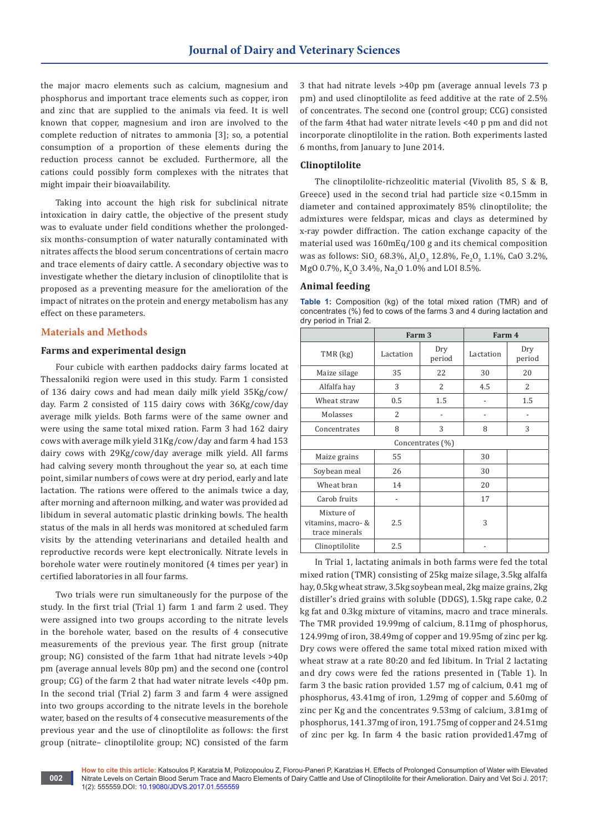the major macro elements such as calcium, magnesium and phosphorus and important trace elements such as copper, iron and zinc that are supplied to the animals via feed. It is well known that copper, magnesium and iron are involved to the complete reduction of nitrates to ammonia [3]; so, a potential consumption of a proportion of these elements during the reduction process cannot be excluded. Furthermore, all the cations could possibly form complexes with the nitrates that might impair their bioavailability.

Taking into account the high risk for subclinical nitrate intoxication in dairy cattle, the objective of the present study was to evaluate under field conditions whether the prolongedsix months-consumption of water naturally contaminated with nitrates affects the blood serum concentrations of certain macro and trace elements of dairy cattle. A secondary objective was to investigate whether the dietary inclusion of clinoptilolite that is proposed as a preventing measure for the amelioration of the impact of nitrates on the protein and energy metabolism has any effect on these parameters.

#### **Materials and Methods**

**002**

## **Farms and experimental design**

Four cubicle with earthen paddocks dairy farms located at Thessaloniki region were used in this study. Farm 1 consisted of 136 dairy cows and had mean daily milk yield 35Kg/cow/ day. Farm 2 consisted of 115 dairy cows with 36Kg/cow/day average milk yields. Both farms were of the same owner and were using the same total mixed ration. Farm 3 had 162 dairy cows with average milk yield 31Kg/cow/day and farm 4 had 153 dairy cows with 29Kg/cow/day average milk yield. All farms had calving severy month throughout the year so, at each time point, similar numbers of cows were at dry period, early and late lactation. The rations were offered to the animals twice a day, after morning and afternoon milking, and water was provided ad libidum in several automatic plastic drinking bowls. The health status of the mals in all herds was monitored at scheduled farm visits by the attending veterinarians and detailed health and reproductive records were kept electronically. Nitrate levels in borehole water were routinely monitored (4 times per year) in certified laboratories in all four farms.

Two trials were run simultaneously for the purpose of the study. In the first trial (Trial 1) farm 1 and farm 2 used. They were assigned into two groups according to the nitrate levels in the borehole water, based on the results of 4 consecutive measurements of the previous year. The first group (nitrate group; NG) consisted of the farm 1that had nitrate levels >40p pm (average annual levels 80p pm) and the second one (control group; CG) of the farm 2 that had water nitrate levels <40p pm. In the second trial (Trial 2) farm 3 and farm 4 were assigned into two groups according to the nitrate levels in the borehole water, based on the results of 4 consecutive measurements of the previous year and the use of clinoptilolite as follows: the first group (nitrate– clinoptilolite group; NC) consisted of the farm

3 that had nitrate levels >40p pm (average annual levels 73 p pm) and used clinoptilolite as feed additive at the rate of 2.5% of concentrates. The second one (control group; CCG) consisted of the farm 4that had water nitrate levels <40 p pm and did not incorporate clinoptilolite in the ration. Both experiments lasted 6 months, from January to June 2014.

#### **Clinoptilolite**

The clinoptilolite-richzeolitic material (Vivolith 85, S & B, Greece) used in the second trial had particle size <0.15mm in diameter and contained approximately 85% clinoptilolite; the admixtures were feldspar, micas and clays as determined by x-ray powder diffraction. The cation exchange capacity of the material used was 160mEq/100 g and its chemical composition was as follows:  $\text{SiO}_2$  68.3%,  $\text{Al}_2\text{O}_3$  12.8%,  $\text{Fe}_2\text{O}_3$  1.1%, CaO 3.2%, MgO 0.7%, K<sub>2</sub>O 3.4%, Na<sub>2</sub>O 1.0% and LOI 8.5%.

## **Animal feeding**

**Table 1:** Composition (kg) of the total mixed ration (TMR) and of concentrates (%) fed to cows of the farms 3 and 4 during lactation and dry period in Trial 2.

|                                                    | Farm 3         |                | Farm 4    |               |  |  |  |
|----------------------------------------------------|----------------|----------------|-----------|---------------|--|--|--|
| TMR (kg)                                           | Lactation      | Dry<br>period  | Lactation | Dry<br>period |  |  |  |
| Maize silage                                       | 35             | 22             | 30        | 20            |  |  |  |
| Alfalfa hay                                        | 3              | $\overline{2}$ | 4.5       | 2             |  |  |  |
| Wheat straw                                        | 0.5            | 1.5            |           | 1.5           |  |  |  |
| Molasses                                           | $\overline{2}$ |                |           |               |  |  |  |
| Concentrates                                       | 8              | 3              | 8         | 3             |  |  |  |
| Concentrates (%)                                   |                |                |           |               |  |  |  |
| Maize grains                                       | 55             |                | 30        |               |  |  |  |
| Soybean meal                                       | 26             |                | 30        |               |  |  |  |
| Wheat bran                                         | 14             |                | 20        |               |  |  |  |
| Carob fruits                                       |                |                | 17        |               |  |  |  |
| Mixture of<br>vitamins, macro- &<br>trace minerals | 2.5            |                | 3         |               |  |  |  |
| Clinoptilolite                                     | 2.5            |                |           |               |  |  |  |

In Trial 1, lactating animals in both farms were fed the total mixed ration (TMR) consisting of 25kg maize silage, 3.5kg alfalfa hay, 0.5kg wheat straw, 3.5kg soybean meal, 2kg maize grains, 2kg distiller's dried grains with soluble (DDGS), 1.5kg rape cake, 0.2 kg fat and 0.3kg mixture of vitamins, macro and trace minerals. The TMR provided 19.99mg of calcium, 8.11mg of phosphorus, 124.99mg of iron, 38.49mg of copper and 19.95mg of zinc per kg. Dry cows were offered the same total mixed ration mixed with wheat straw at a rate 80:20 and fed libitum. In Trial 2 lactating and dry cows were fed the rations presented in (Table 1). In farm 3 the basic ration provided 1.57 mg of calcium, 0.41 mg of phosphorus, 43.41mg of iron, 1.29mg of copper and 5.60mg of zinc per Kg and the concentrates 9.53mg of calcium, 3.81mg of phosphorus, 141.37mg of iron, 191.75mg of copper and 24.51mg of zinc per kg. In farm 4 the basic ration provided1.47mg of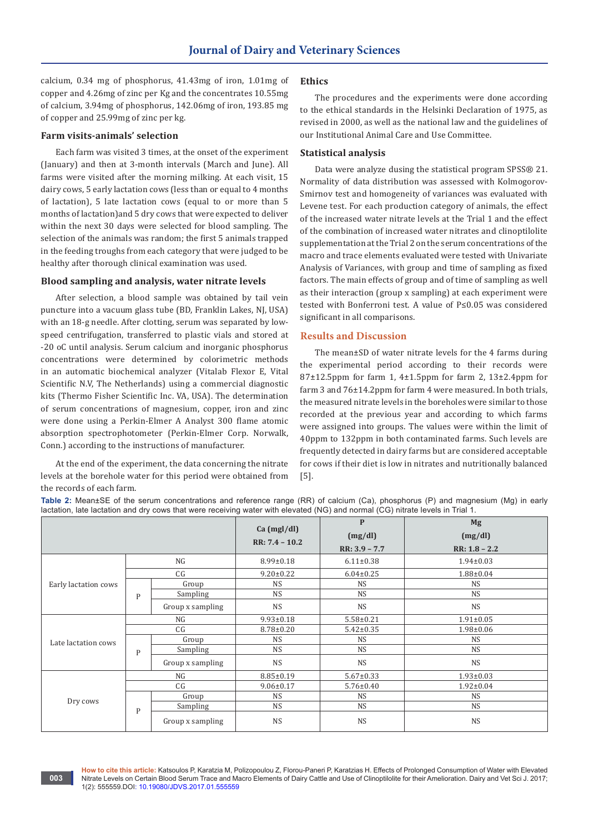calcium, 0.34 mg of phosphorus, 41.43mg of iron, 1.01mg of copper and 4.26mg of zinc per Kg and the concentrates 10.55mg of calcium, 3.94mg of phosphorus, 142.06mg of iron, 193.85 mg of copper and 25.99mg of zinc per kg.

#### **Farm visits-animals' selection**

Each farm was visited 3 times, at the onset of the experiment (January) and then at 3-month intervals (March and June). All farms were visited after the morning milking. At each visit, 15 dairy cows, 5 early lactation cows (less than or equal to 4 months of lactation), 5 late lactation cows (equal to or more than 5 months of lactation)and 5 dry cows that were expected to deliver within the next 30 days were selected for blood sampling. The selection of the animals was random; the first 5 animals trapped in the feeding troughs from each category that were judged to be healthy after thorough clinical examination was used.

## **Blood sampling and analysis, water nitrate levels**

After selection, a blood sample was obtained by tail vein puncture into a vacuum glass tube (BD, Franklin Lakes, NJ, USA) with an 18-g needle. After clotting, serum was separated by lowspeed centrifugation, transferred to plastic vials and stored at -20 oC until analysis. Serum calcium and inorganic phosphorus concentrations were determined by colorimetric methods in an automatic biochemical analyzer (Vitalab Flexor E, Vital Scientific N.V, The Netherlands) using a commercial diagnostic kits (Thermo Fisher Scientific Inc. VA, USA). The determination of serum concentrations of magnesium, copper, iron and zinc were done using a Perkin-Elmer A Analyst 300 flame atomic absorption spectrophotometer (Perkin-Elmer Corp. Norwalk, Conn.) according to the instructions of manufacturer.

At the end of the experiment, the data concerning the nitrate levels at the borehole water for this period were obtained from the records of each farm.

## **Ethics**

The procedures and the experiments were done according to the ethical standards in the Helsinki Declaration of 1975, as revised in 2000, as well as the national law and the guidelines of our Institutional Animal Care and Use Committee.

#### **Statistical analysis**

Data were analyze dusing the statistical program SPSS® 21. Normality of data distribution was assessed with Kolmogorov-Smirnov test and homogeneity of variances was evaluated with Levene test. For each production category of animals, the effect of the increased water nitrate levels at the Trial 1 and the effect of the combination of increased water nitrates and clinoptilolite supplementation at the Trial 2 on the serum concentrations of the macro and trace elements evaluated were tested with Univariate Analysis of Variances, with group and time of sampling as fixed factors. The main effects of group and of time of sampling as well as their interaction (group x sampling) at each experiment were tested with Bonferroni test. A value of P≤0.05 was considered significant in all comparisons.

#### **Results and Discussion**

The mean±SD of water nitrate levels for the 4 farms during the experimental period according to their records were 87±12.5ppm for farm 1, 4±1.5ppm for farm 2, 13±2.4ppm for farm 3 and 76±14.2ppm for farm 4 were measured. In both trials, the measured nitrate levels in the boreholes were similar to those recorded at the previous year and according to which farms were assigned into groups. The values were within the limit of 40ppm to 132ppm in both contaminated farms. Such levels are frequently detected in dairy farms but are considered acceptable for cows if their diet is low in nitrates and nutritionally balanced [5].

**Ca (mgl/dl) RR: 7.4 – 10.2 P (mg/dl) RR: 3.9 – 7.7**  $M_{\odot}$ **(mg/dl) RR: 1.8 – 2.2** Early lactation cows NG 8.99±0.18 6.11±0.38 1.94±0.03  $\begin{array}{c|c|c|c|c|c|c|c} \hline \hline \end{array}$  9.20±0.22 6.04±0.25 1.88±0.04 Group NS NS NS Sampling NS NS NS NS NS

**Table 2:** Mean±SE of the serum concentrations and reference range (RR) of calcium (Ca), phosphorus (P) and magnesium (Mg) in early lactation, late lactation and dry cows that were receiving water with elevated (NG) and normal (CG) nitrate levels in Trial 1.

|                      |              | $Ca$ (mgl/dl)    |                  | ு∍              |                 |
|----------------------|--------------|------------------|------------------|-----------------|-----------------|
|                      |              |                  | $RR: 7.4 - 10.2$ | (mg/dl)         | (mg/dl)         |
|                      |              | $RR: 3.9 - 7.7$  |                  | $RR: 1.8 - 2.2$ |                 |
| Early lactation cows | NG           |                  | $8.99 \pm 0.18$  | $6.11 \pm 0.38$ | $1.94 \pm 0.03$ |
|                      | CG           |                  | $9.20 \pm 0.22$  | $6.04 \pm 0.25$ | $1.88 \pm 0.04$ |
|                      | $\mathbf{P}$ | Group            | <b>NS</b>        | <b>NS</b>       | <b>NS</b>       |
|                      |              | Sampling         | <b>NS</b>        | <b>NS</b>       | <b>NS</b>       |
|                      |              | Group x sampling | <b>NS</b>        | <b>NS</b>       | <b>NS</b>       |
|                      | NG           |                  | $9.93 \pm 0.18$  | $5.58 \pm 0.21$ | $1.91 \pm 0.05$ |
|                      | CG           |                  | $8.78 \pm 0.20$  | $5.42 \pm 0.35$ | $1.98 \pm 0.06$ |
| Late lactation cows  |              | Group            | <b>NS</b>        | <b>NS</b>       | <b>NS</b>       |
|                      | $\mathbf{P}$ | Sampling         | NS               | <b>NS</b>       | NS              |
|                      |              | Group x sampling | <b>NS</b>        | <b>NS</b>       | <b>NS</b>       |
| Dry cows             | NG           |                  | $8.85 \pm 0.19$  | $5.67 \pm 0.33$ | $1.93 \pm 0.03$ |
|                      | CG           |                  | $9.06 \pm 0.17$  | $5.76 \pm 0.40$ | $1.92 \pm 0.04$ |
|                      | $\mathbf{P}$ | Group            | <b>NS</b>        | <b>NS</b>       | <b>NS</b>       |
|                      |              | Sampling         | NS               | <b>NS</b>       | <b>NS</b>       |
|                      |              | Group x sampling | <b>NS</b>        | <b>NS</b>       | <b>NS</b>       |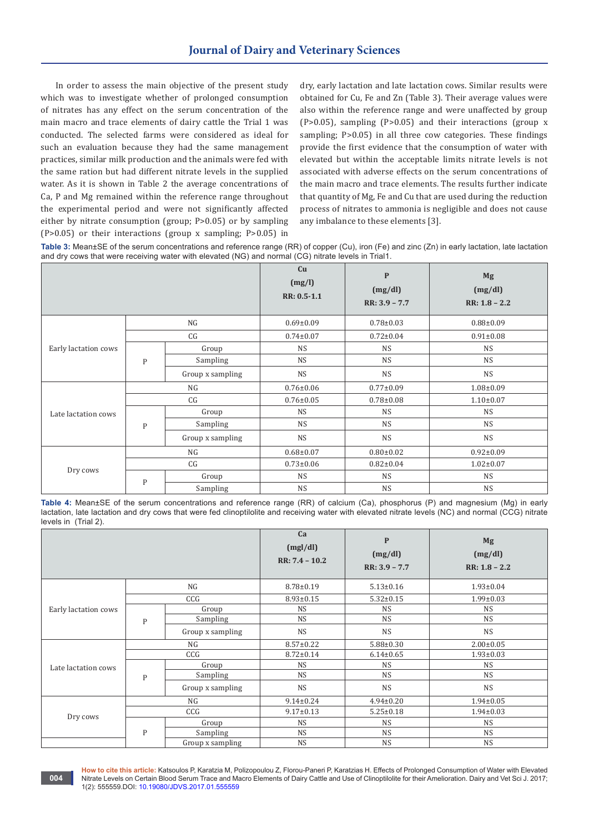In order to assess the main objective of the present study which was to investigate whether of prolonged consumption of nitrates has any effect on the serum concentration of the main macro and trace elements of dairy cattle the Trial 1 was conducted. The selected farms were considered as ideal for such an evaluation because they had the same management practices, similar milk production and the animals were fed with the same ration but had different nitrate levels in the supplied water. As it is shown in Table 2 the average concentrations of Ca, P and Mg remained within the reference range throughout the experimental period and were not significantly affected either by nitrate consumption (group; P>0.05) or by sampling (P>0.05) or their interactions (group x sampling; P>0.05) in

**004**

dry, early lactation and late lactation cows. Similar results were obtained for Cu, Fe and Zn (Table 3). Their average values were also within the reference range and were unaffected by group (P>0.05), sampling (P>0.05) and their interactions (group x sampling; P>0.05) in all three cow categories. These findings provide the first evidence that the consumption of water with elevated but within the acceptable limits nitrate levels is not associated with adverse effects on the serum concentrations of the main macro and trace elements. The results further indicate that quantity of Mg, Fe and Cu that are used during the reduction process of nitrates to ammonia is negligible and does not cause any imbalance to these elements [3].

**Table 3:** Mean±SE of the serum concentrations and reference range (RR) of copper (Cu), iron (Fe) and zinc (Zn) in early lactation, late lactation and dry cows that were receiving water with elevated (NG) and normal (CG) nitrate levels in Trial1.

|                      |              |                  | Cu<br>(mg/l)<br>RR: 0.5-1.1 | $\mathbf{P}$<br>(mg/dl)<br>$RR: 3.9 - 7.7$ | Mg<br>(mg/dl)<br>$RR: 1.8 - 2.2$ |
|----------------------|--------------|------------------|-----------------------------|--------------------------------------------|----------------------------------|
| Early lactation cows | NG           |                  | $0.69 \pm 0.09$             | $0.78 \pm 0.03$                            | $0.88 \pm 0.09$                  |
|                      | CG           |                  | $0.74 \pm 0.07$             | $0.72 \pm 0.04$                            | $0.91 \pm 0.08$                  |
|                      |              | Group            | <b>NS</b>                   | <b>NS</b>                                  | <b>NS</b>                        |
|                      | $\mathbf{P}$ | Sampling         | <b>NS</b>                   | <b>NS</b>                                  | <b>NS</b>                        |
|                      |              | Group x sampling | <b>NS</b>                   | <b>NS</b>                                  | <b>NS</b>                        |
| Late lactation cows  | NG           |                  | $0.76 \pm 0.06$             | $0.77 \pm 0.09$                            | $1.08 \pm 0.09$                  |
|                      | CG           |                  | $0.76 \pm 0.05$             | $0.78 \pm 0.08$                            | $1.10 \pm 0.07$                  |
|                      | $\mathbf{P}$ | Group            | <b>NS</b>                   | <b>NS</b>                                  | <b>NS</b>                        |
|                      |              | Sampling         | <b>NS</b>                   | <b>NS</b>                                  | <b>NS</b>                        |
|                      |              | Group x sampling | <b>NS</b>                   | <b>NS</b>                                  | <b>NS</b>                        |
| Dry cows             | NG           |                  | $0.68 \pm 0.07$             | $0.80 \pm 0.02$                            | $0.92 \pm 0.09$                  |
|                      | CG           |                  | $0.73 \pm 0.06$             | $0.82 \pm 0.04$                            | $1.02 \pm 0.07$                  |
|                      | $\mathbf{P}$ | Group            | <b>NS</b>                   | <b>NS</b>                                  | <b>NS</b>                        |
|                      |              | Sampling         | <b>NS</b>                   | <b>NS</b>                                  | <b>NS</b>                        |

**Table 4:** Mean±SE of the serum concentrations and reference range (RR) of calcium (Ca), phosphorus (P) and magnesium (Mg) in early lactation, late lactation and dry cows that were fed clinoptilolite and receiving water with elevated nitrate levels (NC) and normal (CCG) nitrate levels in (Trial 2).

|                      |              |                  | Ca<br>(mgl/dl)<br>$RR: 7.4 - 10.2$ | $\mathbf{P}$<br>(mg/dl)<br>$RR: 3.9 - 7.7$ | Mg<br>(mg/dl)<br>$RR: 1.8 - 2.2$ |
|----------------------|--------------|------------------|------------------------------------|--------------------------------------------|----------------------------------|
|                      | NG           |                  | $8.78 \pm 0.19$                    | $5.13 \pm 0.16$                            | $1.93 \pm 0.04$                  |
|                      | CCG          |                  | $8.93 \pm 0.15$                    | $5.32 \pm 0.15$                            | $1.99 \pm 0.03$                  |
| Early lactation cows |              | Group            | <b>NS</b>                          | <b>NS</b>                                  | <b>NS</b>                        |
|                      | $\mathsf{P}$ | Sampling         | <b>NS</b>                          | <b>NS</b>                                  | <b>NS</b>                        |
|                      |              | Group x sampling | <b>NS</b>                          | <b>NS</b>                                  | <b>NS</b>                        |
| Late lactation cows  | NG           |                  | $8.57 \pm 0.22$                    | $5.88 \pm 0.30$                            | $2.00 \pm 0.05$                  |
|                      | CCG          |                  | $8.72 \pm 0.14$                    | $6.14 \pm 0.65$                            | $1.93 \pm 0.03$                  |
|                      | P            | Group            | <b>NS</b>                          | <b>NS</b>                                  | <b>NS</b>                        |
|                      |              | Sampling         | <b>NS</b>                          | <b>NS</b>                                  | <b>NS</b>                        |
|                      |              | Group x sampling | <b>NS</b>                          | <b>NS</b>                                  | <b>NS</b>                        |
| Dry cows             | NG           |                  | $9.14 \pm 0.24$                    | $4.94 \pm 0.20$                            | $1.94 \pm 0.05$                  |
|                      | CCG          |                  | $9.17 \pm 0.13$                    | $5.25 \pm 0.18$                            | $1.94 \pm 0.03$                  |
|                      | $\mathsf{P}$ | Group            | <b>NS</b>                          | <b>NS</b>                                  | <b>NS</b>                        |
|                      |              | Sampling         | <b>NS</b>                          | <b>NS</b>                                  | <b>NS</b>                        |
|                      |              | Group x sampling | <b>NS</b>                          | <b>NS</b>                                  | <b>NS</b>                        |

**How to cite this article:** Katsoulos P, Karatzia M, Polizopoulou Z, Florou-Paneri P, Karatzias H. Effects of Prolonged Consumption of Water with Elevated Nitrate Levels on Certain Blood Serum Trace and Macro Elements of Dairy Cattle and Use of Clinoptilolite for their Amelioration. Dairy and Vet Sci J. 2017; 1(2): 555559.DOI[: 10.19080/JDVS.2017.01.555559](http://dx.doi.org/10.19080/JDVS.2017.01.555559
)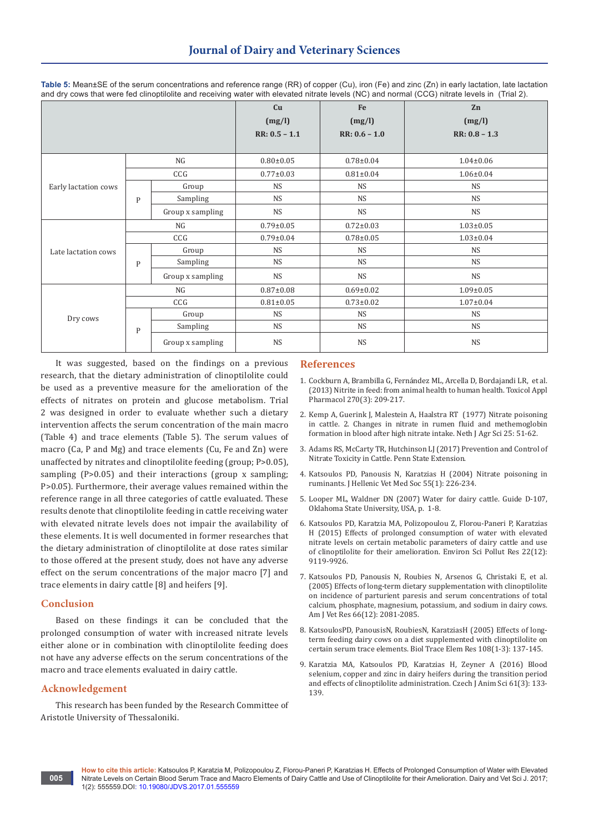|                      |              | Cu               | Fe              | Zn              |                 |
|----------------------|--------------|------------------|-----------------|-----------------|-----------------|
|                      |              | (mg/l)           | (mg/l)          | (mg/l)          |                 |
|                      |              | $RR: 0.5 - 1.1$  | $RR: 0.6 - 1.0$ | $RR: 0.8 - 1.3$ |                 |
|                      |              |                  |                 |                 |                 |
|                      | NG           |                  | $0.80 \pm 0.05$ | $0.78 \pm 0.04$ | $1.04 \pm 0.06$ |
|                      | CCG          |                  | $0.77 \pm 0.03$ | $0.81 \pm 0.04$ | $1.06 \pm 0.04$ |
| Early lactation cows |              | Group            | <b>NS</b>       | <b>NS</b>       | <b>NS</b>       |
|                      | $\mathbf{P}$ | Sampling         | <b>NS</b>       | <b>NS</b>       | <b>NS</b>       |
|                      |              | Group x sampling | <b>NS</b>       | <b>NS</b>       | <b>NS</b>       |
|                      | NG           |                  | $0.79 \pm 0.05$ | $0.72 \pm 0.03$ | $1.03 \pm 0.05$ |
|                      | CCG          |                  | $0.79 \pm 0.04$ | $0.78 \pm 0.05$ | $1.03 \pm 0.04$ |
| Late lactation cows  |              | Group            | <b>NS</b>       | <b>NS</b>       | <b>NS</b>       |
|                      | $\mathbf{P}$ | Sampling         | <b>NS</b>       | <b>NS</b>       | <b>NS</b>       |
|                      |              | Group x sampling | <b>NS</b>       | <b>NS</b>       | <b>NS</b>       |
| Dry cows             | NG           |                  | $0.87 \pm 0.08$ | $0.69 \pm 0.02$ | $1.09 \pm 0.05$ |
|                      | CCG          |                  | $0.81 \pm 0.05$ | $0.73 \pm 0.02$ | $1.07 \pm 0.04$ |
|                      |              | Group            | <b>NS</b>       | <b>NS</b>       | <b>NS</b>       |
|                      | $\mathbf{P}$ | Sampling         | <b>NS</b>       | <b>NS</b>       | <b>NS</b>       |
|                      |              | Group x sampling | <b>NS</b>       | <b>NS</b>       | <b>NS</b>       |

**Table 5:** Mean±SE of the serum concentrations and reference range (RR) of copper (Cu), iron (Fe) and zinc (Zn) in early lactation, late lactation and dry cows that were fed clinoptilolite and receiving water with elevated nitrate levels (NC) and normal (CCG) nitrate levels in (Trial 2).

It was suggested, based on the findings on a previous research, that the dietary administration of clinoptilolite could be used as a preventive measure for the amelioration of the effects of nitrates on protein and glucose metabolism. Trial 2 was designed in order to evaluate whether such a dietary intervention affects the serum concentration of the main macro (Table 4) and trace elements (Table 5). The serum values of macro (Ca, P and Mg) and trace elements (Cu, Fe and Zn) were unaffected by nitrates and clinoptilolite feeding (group; P>0.05), sampling (P>0.05) and their interactions (group x sampling; P>0.05). Furthermore, their average values remained within the reference range in all three categories of cattle evaluated. These results denote that clinoptilolite feeding in cattle receiving water with elevated nitrate levels does not impair the availability of these elements. It is well documented in former researches that the dietary administration of clinoptilolite at dose rates similar to those offered at the present study, does not have any adverse effect on the serum concentrations of the major macro [7] and trace elements in dairy cattle [8] and heifers [9].

#### **Conclusion**

Based on these findings it can be concluded that the prolonged consumption of water with increased nitrate levels either alone or in combination with clinoptilolite feeding does not have any adverse effects on the serum concentrations of the macro and trace elements evaluated in dairy cattle.

## **Acknowledgement**

**005**

This research has been funded by the Research Committee of Aristotle University of Thessaloniki.

## **References**

- 1. Cockburn A, Brambilla G, Fernández ML, Arcella D, [Bordajandi LR, et al.](https://www.ncbi.nlm.nih.gov/pubmed/21095201)  (2013) [Nitrite in feed: from animal health to human health. Toxicol Appl](https://www.ncbi.nlm.nih.gov/pubmed/21095201)  [Pharmacol 270\(3\): 209-217.](https://www.ncbi.nlm.nih.gov/pubmed/21095201)
- 2. [Kemp A, Guerink J, Malestein A, Haalstra RT \(1977\) Nitrate poisoning](http://agris.fao.org/agris-search/search.do?recordID=NL19770191564)  [in cattle. 2. Changes in nitrate in rumen fluid and methemoglobin](http://agris.fao.org/agris-search/search.do?recordID=NL19770191564)  [formation in blood after high nitrate intake. Neth J Agr Sci 25: 51-62.](http://agris.fao.org/agris-search/search.do?recordID=NL19770191564)
- 3. Adams RS, McCarty TR, Hutchinson LJ (2017) Prevention and Control of Nitrate Toxicity in Cattle. Penn State Extension.
- 4. Katsoulos PD, Panousis N, Karatzias H (2004) Nitrate poisoning in ruminants. J Hellenic Vet Med Soc 55(1): 226-234.
- 5. [Looper ML, Waldner DN \(2007\) Water for dairy cattle. Guide D-107,](http://aces.nmsu.edu/pubs/_d/D107.pdf)  [Oklahoma State University, USA, p. 1-8.](http://aces.nmsu.edu/pubs/_d/D107.pdf)
- 6. [Katsoulos PD, Karatzia MA, Polizopoulou Z, Florou-Paneri P, Karatzias](http://link.springer.com/article/10.1007/s11356-014-4060-8)  [H \(2015\) Effects of prolonged consumption of water with elevated](http://link.springer.com/article/10.1007/s11356-014-4060-8)  [nitrate levels on certain metabolic parameters of dairy cattle and use](http://link.springer.com/article/10.1007/s11356-014-4060-8)  [of clinoptilolite for their amelioration. Environ Sci Pollut Res 22\(12\):](http://link.springer.com/article/10.1007/s11356-014-4060-8)  [9119-9926.](http://link.springer.com/article/10.1007/s11356-014-4060-8)
- 7. [Katsoulos PD, Panousis N, Roubies N, Arsenos G, Christaki E, et al.](https://www.ncbi.nlm.nih.gov/pubmed/16379650)  [\(2005\) Effects of long-term dietary supplementation with clinoptilolite](https://www.ncbi.nlm.nih.gov/pubmed/16379650)  [on incidence of parturient paresis and serum concentrations of total](https://www.ncbi.nlm.nih.gov/pubmed/16379650)  [calcium, phosphate, magnesium, potassium, and sodium in dairy cows.](https://www.ncbi.nlm.nih.gov/pubmed/16379650)  [Am J Vet Res 66\(12\): 2081-2085.](https://www.ncbi.nlm.nih.gov/pubmed/16379650)
- 8. [KatsoulosPD, PanousisN, RoubiesN, KaratziasH \(2005\) Effects of long](https://www.ncbi.nlm.nih.gov/pubmed/16327067)[term feeding dairy cows on a diet supplemented with clinoptilolite on](https://www.ncbi.nlm.nih.gov/pubmed/16327067)  [certain serum trace elements. Biol Trace Elem Res 108\(1-3\): 137-145.](https://www.ncbi.nlm.nih.gov/pubmed/16327067)
- 9. [Karatzia MA, Katsoulos PD, Karatzias H, Zeyner A \(2016\) Blood](https://www.researchgate.net/publication/299502133_Blood_selenium_copper_and_zinc_in_dairy_heifers_during_the_transition_period_and_effects_of_clinoptilolite_administration)  [selenium, copper and zinc in dairy heifers during the transition period](https://www.researchgate.net/publication/299502133_Blood_selenium_copper_and_zinc_in_dairy_heifers_during_the_transition_period_and_effects_of_clinoptilolite_administration)  [and effects of clinoptilolite administration. Czech J Anim Sci 61\(3\): 133-](https://www.researchgate.net/publication/299502133_Blood_selenium_copper_and_zinc_in_dairy_heifers_during_the_transition_period_and_effects_of_clinoptilolite_administration) [139.](https://www.researchgate.net/publication/299502133_Blood_selenium_copper_and_zinc_in_dairy_heifers_during_the_transition_period_and_effects_of_clinoptilolite_administration)